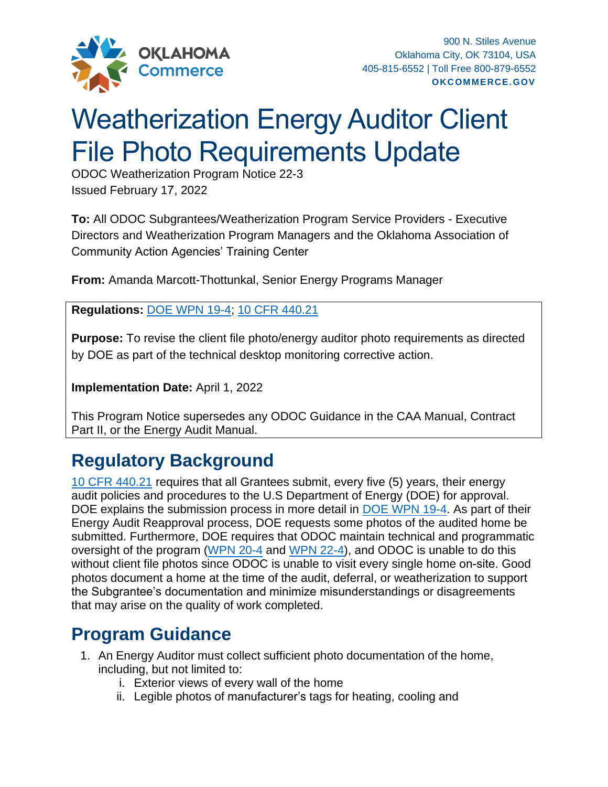

## Weatherization Energy Auditor Client File Photo Requirements Update

ODOC Weatherization Program Notice 22-3 Issued February 17, 2022

**To:** All ODOC Subgrantees/Weatherization Program Service Providers - Executive Directors and Weatherization Program Managers and the Oklahoma Association of Community Action Agencies' Training Center

**From:** Amanda Marcott-Thottunkal, Senior Energy Programs Manager

**Regulations:** [DOE WPN 19-4;](https://www.energy.gov/sites/default/files/2019/05/f62/WPN-19-4-Revised-EA_0517.pdf) [10 CFR 440.21](https://www.ecfr.gov/current/title-10/part-440)

**Purpose:** To revise the client file photo/energy auditor photo requirements as directed by DOE as part of the technical desktop monitoring corrective action.

**Implementation Date:** April 1, 2022

This Program Notice supersedes any ODOC Guidance in the CAA Manual, Contract Part II, or the Energy Audit Manual.

## **Regulatory Background**

[10 CFR 440.21](https://www.ecfr.gov/current/title-10/part-440) requires that all Grantees submit, every five (5) years, their energy audit policies and procedures to the U.S Department of Energy (DOE) for approval. DOE explains the submission process in more detail in [DOE WPN 19-4.](https://www.energy.gov/sites/default/files/2019/05/f62/WPN-19-4-Revised-EA_0517.pdf) As part of their Energy Audit Reapproval process, DOE requests some photos of the audited home be submitted. Furthermore, DOE requires that ODOC maintain technical and programmatic oversight of the program [\(WPN 20-4](https://www.energy.gov/sites/default/files/2020/05/f74/wpn-20-4_v2_1.pdf) and [WPN 22-4\),](https://www.energy.gov/sites/default/files/2021-12/wpn-22-4.pdf) and ODOC is unable to do this without client file photos since ODOC is unable to visit every single home on-site. Good photos document a home at the time of the audit, deferral, or weatherization to support the Subgrantee's documentation and minimize misunderstandings or disagreements that may arise on the quality of work completed.

## **Program Guidance**

- 1. An Energy Auditor must collect sufficient photo documentation of the home, including, but not limited to:
	- i. Exterior views of every wall of the home
	- ii. Legible photos of manufacturer's tags for heating, cooling and